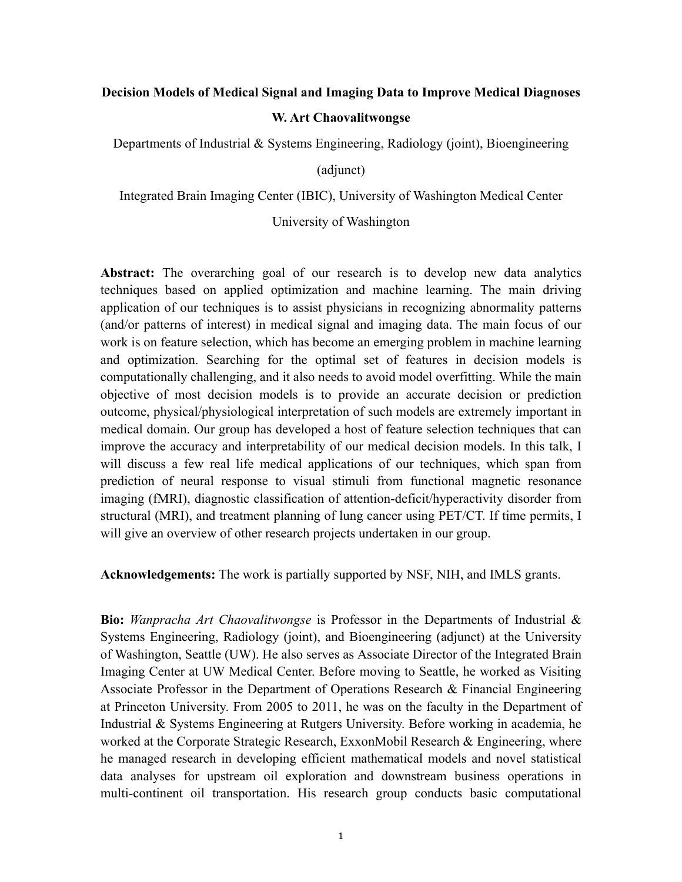## **Decision Models of Medical Signal and Imaging Data to Improve Medical Diagnoses W. Art Chaovalitwongse**

Departments of Industrial & Systems Engineering, Radiology (joint), Bioengineering

(adjunct)

Integrated Brain Imaging Center (IBIC), University of Washington Medical Center

University of Washington

**Abstract:** The overarching goal of our research is to develop new data analytics techniques based on applied optimization and machine learning. The main driving application of our techniques is to assist physicians in recognizing abnormality patterns (and/or patterns of interest) in medical signal and imaging data. The main focus of our work is on feature selection, which has become an emerging problem in machine learning and optimization. Searching for the optimal set of features in decision models is computationally challenging, and it also needs to avoid model overfitting. While the main objective of most decision models is to provide an accurate decision or prediction outcome, physical/physiological interpretation of such models are extremely important in medical domain. Our group has developed a host of feature selection techniques that can improve the accuracy and interpretability of our medical decision models. In this talk, I will discuss a few real life medical applications of our techniques, which span from prediction of neural response to visual stimuli from functional magnetic resonance imaging (fMRI), diagnostic classification of attention-deficit/hyperactivity disorder from structural (MRI), and treatment planning of lung cancer using PET/CT. If time permits, I will give an overview of other research projects undertaken in our group.

**Acknowledgements:** The work is partially supported by NSF, NIH, and IMLS grants.

**Bio:** *Wanpracha Art Chaovalitwongse* is Professor in the Departments of Industrial & Systems Engineering, Radiology (joint), and Bioengineering (adjunct) at the University of Washington, Seattle (UW). He also serves as Associate Director of the Integrated Brain Imaging Center at UW Medical Center. Before moving to Seattle, he worked as Visiting Associate Professor in the Department of Operations Research & Financial Engineering at Princeton University. From 2005 to 2011, he was on the faculty in the Department of Industrial & Systems Engineering at Rutgers University. Before working in academia, he worked at the Corporate Strategic Research, ExxonMobil Research & Engineering, where he managed research in developing efficient mathematical models and novel statistical data analyses for upstream oil exploration and downstream business operations in multi-continent oil transportation. His research group conducts basic computational